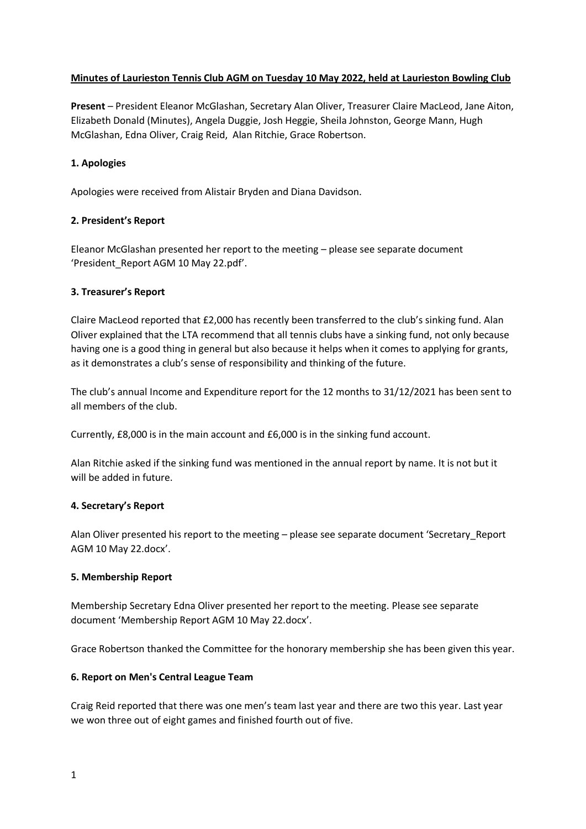# **Minutes of Laurieston Tennis Club AGM on Tuesday 10 May 2022, held at Laurieston Bowling Club**

**Present** – President Eleanor McGlashan, Secretary Alan Oliver, Treasurer Claire MacLeod, Jane Aiton, Elizabeth Donald (Minutes), Angela Duggie, Josh Heggie, Sheila Johnston, George Mann, Hugh McGlashan, Edna Oliver, Craig Reid, Alan Ritchie, Grace Robertson.

# **1. Apologies**

Apologies were received from Alistair Bryden and Diana Davidson.

## **2. President's Report**

Eleanor McGlashan presented her report to the meeting – please see separate document 'President\_Report AGM 10 May 22.pdf'.

## **3. Treasurer's Report**

Claire MacLeod reported that £2,000 has recently been transferred to the club's sinking fund. Alan Oliver explained that the LTA recommend that all tennis clubs have a sinking fund, not only because having one is a good thing in general but also because it helps when it comes to applying for grants, as it demonstrates a club's sense of responsibility and thinking of the future.

The club's annual Income and Expenditure report for the 12 months to 31/12/2021 has been sent to all members of the club.

Currently, £8,000 is in the main account and £6,000 is in the sinking fund account.

Alan Ritchie asked if the sinking fund was mentioned in the annual report by name. It is not but it will be added in future.

## **4. Secretary's Report**

Alan Oliver presented his report to the meeting – please see separate document 'Secretary\_Report AGM 10 May 22.docx'.

## **5. Membership Report**

Membership Secretary Edna Oliver presented her report to the meeting. Please see separate document 'Membership Report AGM 10 May 22.docx'.

Grace Robertson thanked the Committee for the honorary membership she has been given this year.

## **6. Report on Men's Central League Team**

Craig Reid reported that there was one men's team last year and there are two this year. Last year we won three out of eight games and finished fourth out of five.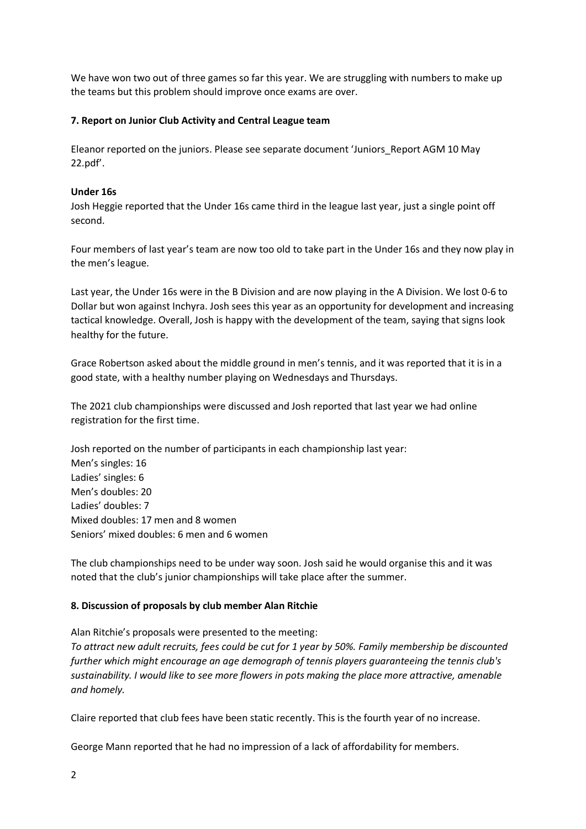We have won two out of three games so far this year. We are struggling with numbers to make up the teams but this problem should improve once exams are over.

# **7. Report on Junior Club Activity and Central League team**

Eleanor reported on the juniors. Please see separate document 'Juniors\_Report AGM 10 May 22.pdf'.

## **Under 16s**

Josh Heggie reported that the Under 16s came third in the league last year, just a single point off second.

Four members of last year's team are now too old to take part in the Under 16s and they now play in the men's league.

Last year, the Under 16s were in the B Division and are now playing in the A Division. We lost 0-6 to Dollar but won against Inchyra. Josh sees this year as an opportunity for development and increasing tactical knowledge. Overall, Josh is happy with the development of the team, saying that signs look healthy for the future.

Grace Robertson asked about the middle ground in men's tennis, and it was reported that it is in a good state, with a healthy number playing on Wednesdays and Thursdays.

The 2021 club championships were discussed and Josh reported that last year we had online registration for the first time.

Josh reported on the number of participants in each championship last year: Men's singles: 16 Ladies' singles: 6 Men's doubles: 20 Ladies' doubles: 7 Mixed doubles: 17 men and 8 women Seniors' mixed doubles: 6 men and 6 women

The club championships need to be under way soon. Josh said he would organise this and it was noted that the club's junior championships will take place after the summer.

## **8. Discussion of proposals by club member Alan Ritchie**

Alan Ritchie's proposals were presented to the meeting: *To attract new adult recruits, fees could be cut for 1 year by 50%. Family membership be discounted further which might encourage an age demograph of tennis players guaranteeing the tennis club's sustainability. I would like to see more flowers in pots making the place more attractive, amenable and homely.*

Claire reported that club fees have been static recently. This is the fourth year of no increase.

George Mann reported that he had no impression of a lack of affordability for members.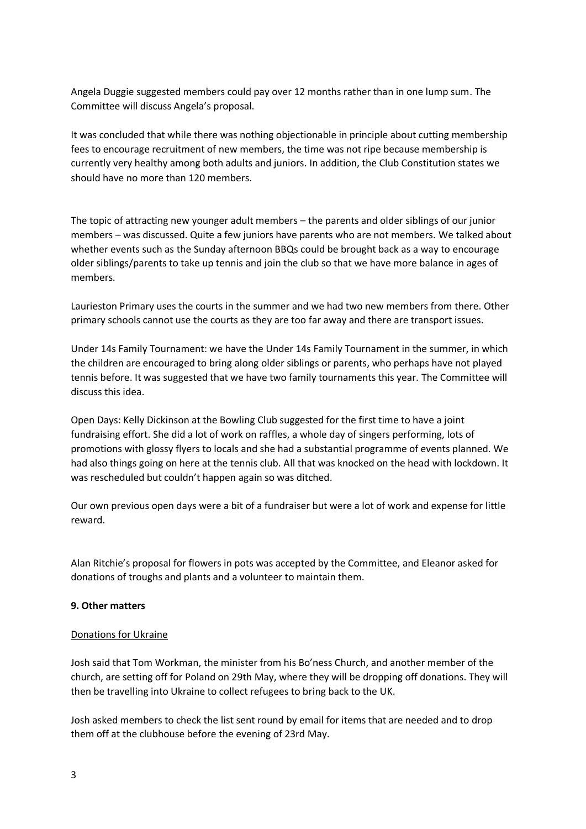Angela Duggie suggested members could pay over 12 months rather than in one lump sum. The Committee will discuss Angela's proposal.

It was concluded that while there was nothing objectionable in principle about cutting membership fees to encourage recruitment of new members, the time was not ripe because membership is currently very healthy among both adults and juniors. In addition, the Club Constitution states we should have no more than 120 members.

The topic of attracting new younger adult members – the parents and older siblings of our junior members – was discussed. Quite a few juniors have parents who are not members. We talked about whether events such as the Sunday afternoon BBQs could be brought back as a way to encourage older siblings/parents to take up tennis and join the club so that we have more balance in ages of members.

Laurieston Primary uses the courts in the summer and we had two new members from there. Other primary schools cannot use the courts as they are too far away and there are transport issues.

Under 14s Family Tournament: we have the Under 14s Family Tournament in the summer, in which the children are encouraged to bring along older siblings or parents, who perhaps have not played tennis before. It was suggested that we have two family tournaments this year. The Committee will discuss this idea.

Open Days: Kelly Dickinson at the Bowling Club suggested for the first time to have a joint fundraising effort. She did a lot of work on raffles, a whole day of singers performing, lots of promotions with glossy flyers to locals and she had a substantial programme of events planned. We had also things going on here at the tennis club. All that was knocked on the head with lockdown. It was rescheduled but couldn't happen again so was ditched.

Our own previous open days were a bit of a fundraiser but were a lot of work and expense for little reward.

Alan Ritchie's proposal for flowers in pots was accepted by the Committee, and Eleanor asked for donations of troughs and plants and a volunteer to maintain them.

## **9. Other matters**

## Donations for Ukraine

Josh said that Tom Workman, the minister from his Bo'ness Church, and another member of the church, are setting off for Poland on 29th May, where they will be dropping off donations. They will then be travelling into Ukraine to collect refugees to bring back to the UK.

Josh asked members to check the list sent round by email for items that are needed and to drop them off at the clubhouse before the evening of 23rd May.